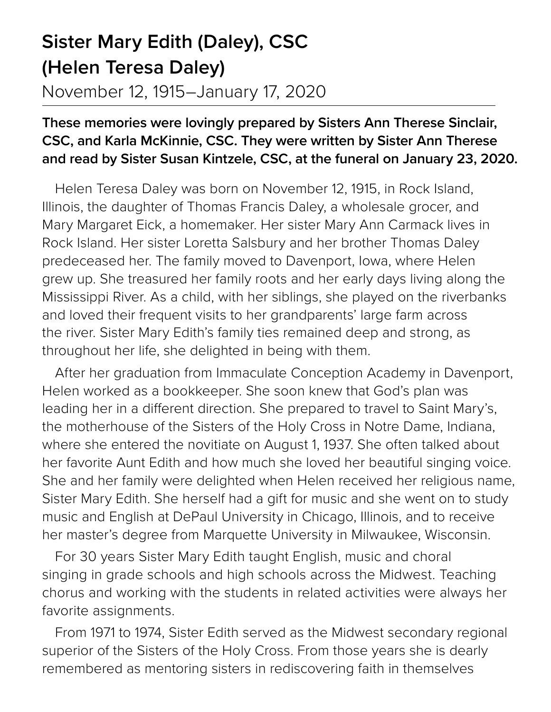## **Sister Mary Edith (Daley), CSC (Helen Teresa Daley)** November 12, 1915–January 17, 2020

## **These memories were lovingly prepared by Sisters Ann Therese Sinclair, CSC, and Karla McKinnie, CSC. They were written by Sister Ann Therese and read by Sister Susan Kintzele, CSC, at the funeral on January 23, 2020.**

Helen Teresa Daley was born on November 12, 1915, in Rock Island, Illinois, the daughter of Thomas Francis Daley, a wholesale grocer, and Mary Margaret Eick, a homemaker. Her sister Mary Ann Carmack lives in Rock Island. Her sister Loretta Salsbury and her brother Thomas Daley predeceased her. The family moved to Davenport, Iowa, where Helen grew up. She treasured her family roots and her early days living along the Mississippi River. As a child, with her siblings, she played on the riverbanks and loved their frequent visits to her grandparents' large farm across the river. Sister Mary Edith's family ties remained deep and strong, as throughout her life, she delighted in being with them.

After her graduation from Immaculate Conception Academy in Davenport, Helen worked as a bookkeeper. She soon knew that God's plan was leading her in a different direction. She prepared to travel to Saint Mary's, the motherhouse of the Sisters of the Holy Cross in Notre Dame, Indiana, where she entered the novitiate on August 1, 1937. She often talked about her favorite Aunt Edith and how much she loved her beautiful singing voice. She and her family were delighted when Helen received her religious name, Sister Mary Edith. She herself had a gift for music and she went on to study music and English at DePaul University in Chicago, Illinois, and to receive her master's degree from Marquette University in Milwaukee, Wisconsin.

For 30 years Sister Mary Edith taught English, music and choral singing in grade schools and high schools across the Midwest. Teaching chorus and working with the students in related activities were always her favorite assignments.

From 1971 to 1974, Sister Edith served as the Midwest secondary regional superior of the Sisters of the Holy Cross. From those years she is dearly remembered as mentoring sisters in rediscovering faith in themselves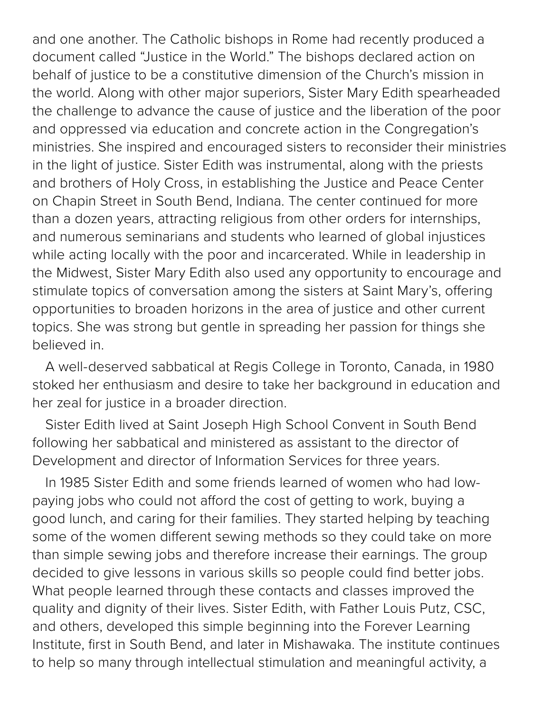and one another. The Catholic bishops in Rome had recently produced a document called "Justice in the World." The bishops declared action on behalf of justice to be a constitutive dimension of the Church's mission in the world. Along with other major superiors, Sister Mary Edith spearheaded the challenge to advance the cause of justice and the liberation of the poor and oppressed via education and concrete action in the Congregation's ministries. She inspired and encouraged sisters to reconsider their ministries in the light of justice. Sister Edith was instrumental, along with the priests and brothers of Holy Cross, in establishing the Justice and Peace Center on Chapin Street in South Bend, Indiana. The center continued for more than a dozen years, attracting religious from other orders for internships, and numerous seminarians and students who learned of global injustices while acting locally with the poor and incarcerated. While in leadership in the Midwest, Sister Mary Edith also used any opportunity to encourage and stimulate topics of conversation among the sisters at Saint Mary's, offering opportunities to broaden horizons in the area of justice and other current topics. She was strong but gentle in spreading her passion for things she believed in.

A well-deserved sabbatical at Regis College in Toronto, Canada, in 1980 stoked her enthusiasm and desire to take her background in education and her zeal for justice in a broader direction.

Sister Edith lived at Saint Joseph High School Convent in South Bend following her sabbatical and ministered as assistant to the director of Development and director of Information Services for three years.

In 1985 Sister Edith and some friends learned of women who had lowpaying jobs who could not afford the cost of getting to work, buying a good lunch, and caring for their families. They started helping by teaching some of the women different sewing methods so they could take on more than simple sewing jobs and therefore increase their earnings. The group decided to give lessons in various skills so people could find better jobs. What people learned through these contacts and classes improved the quality and dignity of their lives. Sister Edith, with Father Louis Putz, CSC, and others, developed this simple beginning into the Forever Learning Institute, first in South Bend, and later in Mishawaka. The institute continues to help so many through intellectual stimulation and meaningful activity, a